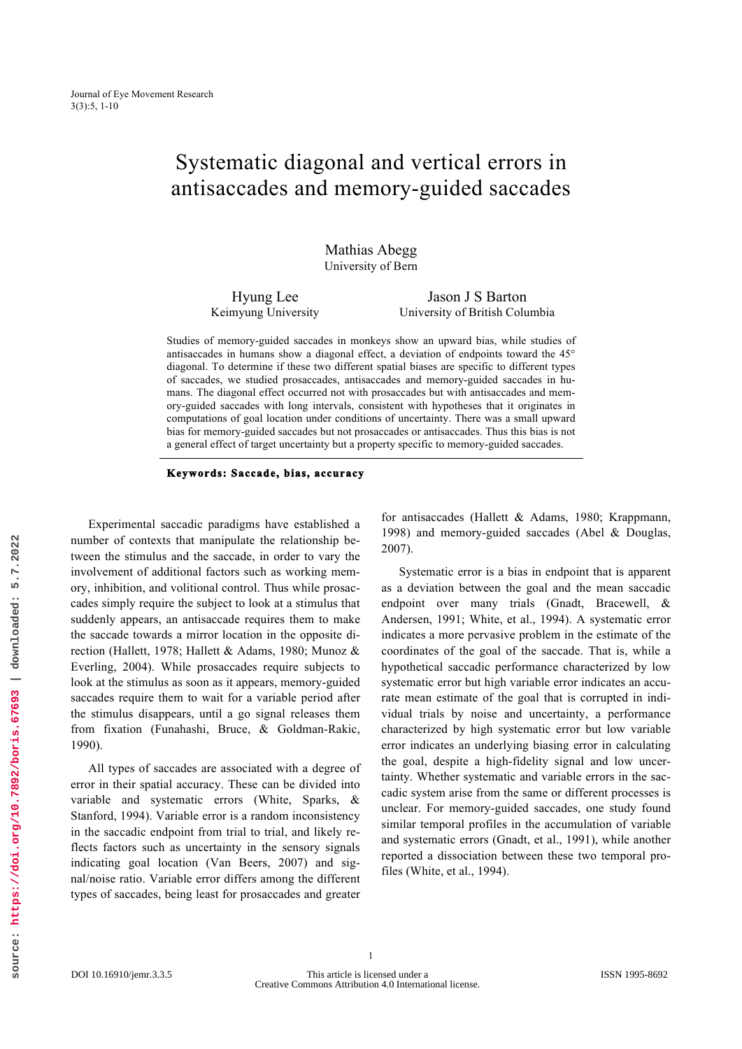# Systematic diagonal and vertical errors in antisaccades and memory-guided saccades

Mathias Abegg University of Bern

Hyung Lee Keimyung University

Jason J S Barton University of British Columbia

Studies of memory-guided saccades in monkeys show an upward bias, while studies of antisaccades in humans show a diagonal effect, a deviation of endpoints toward the 45° diagonal. To determine if these two different spatial biases are specific to different types of saccades, we studied prosaccades, antisaccades and memory-guided saccades in humans. The diagonal effect occurred not with prosaccades but with antisaccades and memory-guided saccades with long intervals, consistent with hypotheses that it originates in computations of goal location under conditions of uncertainty. There was a small upward bias for memory-guided saccades but not prosaccades or antisaccades. Thus this bias is not a general effect of target uncertainty but a property specific to memory-guided saccades.

#### **Keywords: Saccade, bias, accuracy**

Experimental saccadic paradigms have established a number of contexts that manipulate the relationship between the stimulus and the saccade, in order to vary the involvement of additional factors such as working memory, inhibition, and volitional control. Thus while prosaccades simply require the subject to look at a stimulus that suddenly appears, an antisaccade requires them to make the saccade towards a mirror location in the opposite direction (Hallett, 1978; Hallett & Adams, 1980; Munoz & Everling, 2004). While prosaccades require subjects to look at the stimulus as soon as it appears, memory-guided saccades require them to wait for a variable period after the stimulus disappears, until a go signal releases them from fixation (Funahashi, Bruce, & Goldman-Rakic, 1990).

All types of saccades are associated with a degree of error in their spatial accuracy. These can be divided into variable and systematic errors (White, Sparks, & Stanford, 1994). Variable error is a random inconsistency in the saccadic endpoint from trial to trial, and likely reflects factors such as uncertainty in the sensory signals indicating goal location (Van Beers, 2007) and signal/noise ratio. Variable error differs among the different types of saccades, being least for prosaccades and greater

for antisaccades (Hallett & Adams, 1980; Krappmann, 1998) and memory-guided saccades (Abel & Douglas, 2007).

Systematic error is a bias in endpoint that is apparent as a deviation between the goal and the mean saccadic endpoint over many trials (Gnadt, Bracewell, & Andersen, 1991; White, et al., 1994). A systematic error indicates a more pervasive problem in the estimate of the coordinates of the goal of the saccade. That is, while a hypothetical saccadic performance characterized by low systematic error but high variable error indicates an accurate mean estimate of the goal that is corrupted in individual trials by noise and uncertainty, a performance characterized by high systematic error but low variable error indicates an underlying biasing error in calculating the goal, despite a high-fidelity signal and low uncertainty. Whether systematic and variable errors in the saccadic system arise from the same or different processes is unclear. For memory-guided saccades, one study found similar temporal profiles in the accumulation of variable and systematic errors (Gnadt, et al., 1991), while another reported a dissociation between these two temporal profiles (White, et al., 1994).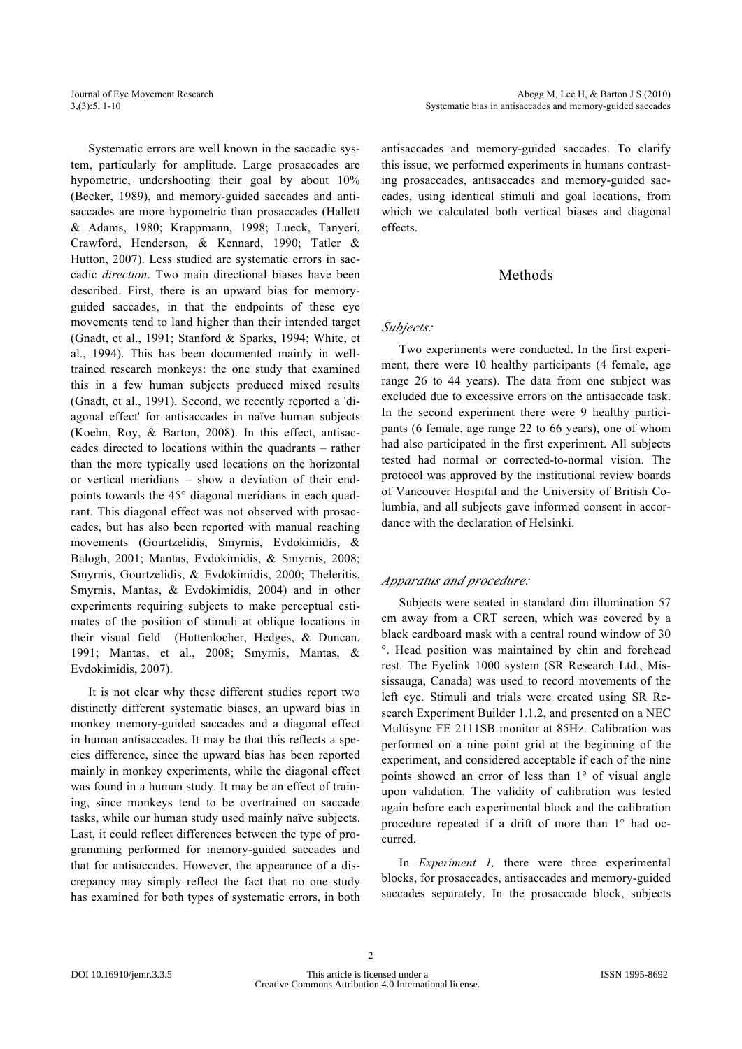Systematic errors are well known in the saccadic system, particularly for amplitude. Large prosaccades are hypometric, undershooting their goal by about 10% (Becker, 1989), and memory-guided saccades and antisaccades are more hypometric than prosaccades (Hallett & Adams, 1980; Krappmann, 1998; Lueck, Tanyeri, Crawford, Henderson, & Kennard, 1990; Tatler & Hutton, 2007). Less studied are systematic errors in saccadic *direction*. Two main directional biases have been described. First, there is an upward bias for memoryguided saccades, in that the endpoints of these eye movements tend to land higher than their intended target (Gnadt, et al., 1991; Stanford & Sparks, 1994; White, et al., 1994). This has been documented mainly in welltrained research monkeys: the one study that examined this in a few human subjects produced mixed results (Gnadt, et al., 1991). Second, we recently reported a 'diagonal effect' for antisaccades in naïve human subjects (Koehn, Roy, & Barton, 2008). In this effect, antisaccades directed to locations within the quadrants – rather than the more typically used locations on the horizontal or vertical meridians – show a deviation of their endpoints towards the 45° diagonal meridians in each quadrant. This diagonal effect was not observed with prosaccades, but has also been reported with manual reaching movements (Gourtzelidis, Smyrnis, Evdokimidis, & Balogh, 2001; Mantas, Evdokimidis, & Smyrnis, 2008; Smyrnis, Gourtzelidis, & Evdokimidis, 2000; Theleritis, Smyrnis, Mantas, & Evdokimidis, 2004) and in other experiments requiring subjects to make perceptual estimates of the position of stimuli at oblique locations in their visual field (Huttenlocher, Hedges, & Duncan, 1991; Mantas, et al., 2008; Smyrnis, Mantas, & Evdokimidis, 2007).

It is not clear why these different studies report two distinctly different systematic biases, an upward bias in monkey memory-guided saccades and a diagonal effect in human antisaccades. It may be that this reflects a species difference, since the upward bias has been reported mainly in monkey experiments, while the diagonal effect was found in a human study. It may be an effect of training, since monkeys tend to be overtrained on saccade tasks, while our human study used mainly naïve subjects. Last, it could reflect differences between the type of programming performed for memory-guided saccades and that for antisaccades. However, the appearance of a discrepancy may simply reflect the fact that no one study has examined for both types of systematic errors, in both antisaccades and memory-guided saccades. To clarify this issue, we performed experiments in humans contrasting prosaccades, antisaccades and memory-guided saccades, using identical stimuli and goal locations, from which we calculated both vertical biases and diagonal effects.

## Methods

## *Subjects:*

Two experiments were conducted. In the first experiment, there were 10 healthy participants (4 female, age range 26 to 44 years). The data from one subject was excluded due to excessive errors on the antisaccade task. In the second experiment there were 9 healthy participants (6 female, age range 22 to 66 years), one of whom had also participated in the first experiment. All subjects tested had normal or corrected-to-normal vision. The protocol was approved by the institutional review boards of Vancouver Hospital and the University of British Columbia, and all subjects gave informed consent in accordance with the declaration of Helsinki.

# *Apparatus and procedure:*

Subjects were seated in standard dim illumination 57 cm away from a CRT screen, which was covered by a black cardboard mask with a central round window of 30 °. Head position was maintained by chin and forehead rest. The Eyelink 1000 system (SR Research Ltd., Mississauga, Canada) was used to record movements of the left eye. Stimuli and trials were created using SR Research Experiment Builder 1.1.2, and presented on a NEC Multisync FE 2111SB monitor at 85Hz. Calibration was performed on a nine point grid at the beginning of the experiment, and considered acceptable if each of the nine points showed an error of less than 1° of visual angle upon validation. The validity of calibration was tested again before each experimental block and the calibration procedure repeated if a drift of more than 1° had occurred.

In *Experiment 1,* there were three experimental blocks, for prosaccades, antisaccades and memory-guided saccades separately. In the prosaccade block, subjects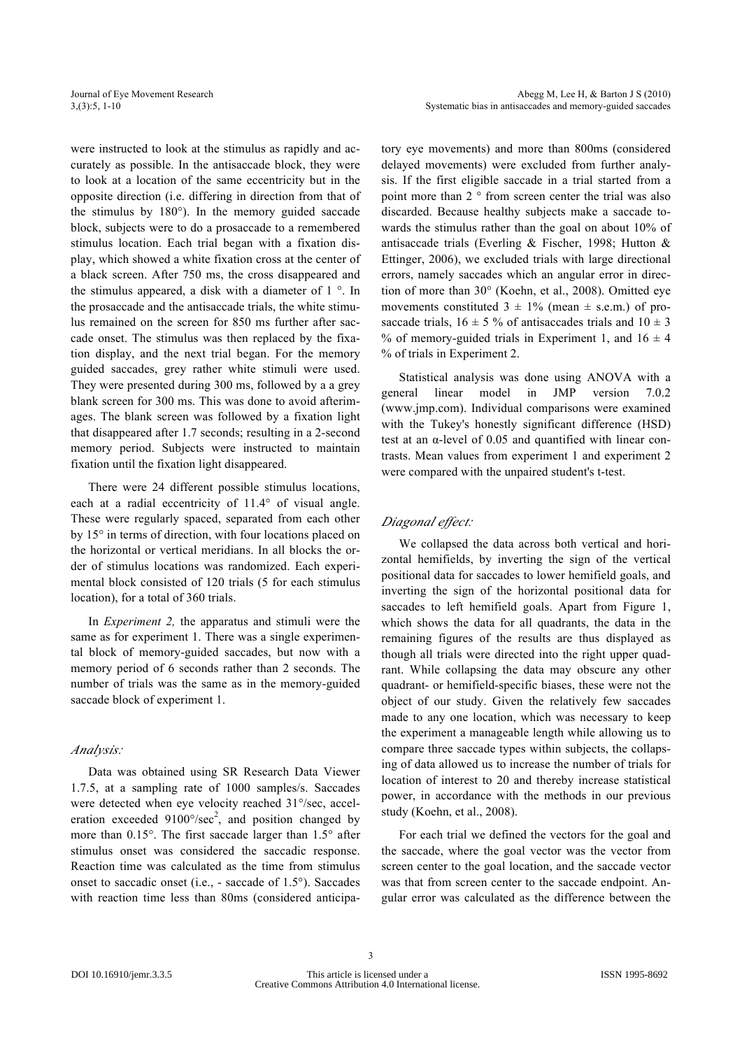were instructed to look at the stimulus as rapidly and accurately as possible. In the antisaccade block, they were to look at a location of the same eccentricity but in the opposite direction (i.e. differing in direction from that of the stimulus by 180°). In the memory guided saccade block, subjects were to do a prosaccade to a remembered stimulus location. Each trial began with a fixation display, which showed a white fixation cross at the center of a black screen. After 750 ms, the cross disappeared and the stimulus appeared, a disk with a diameter of 1 °. In the prosaccade and the antisaccade trials, the white stimulus remained on the screen for 850 ms further after saccade onset. The stimulus was then replaced by the fixation display, and the next trial began. For the memory guided saccades, grey rather white stimuli were used. They were presented during 300 ms, followed by a a grey blank screen for 300 ms. This was done to avoid afterimages. The blank screen was followed by a fixation light that disappeared after 1.7 seconds; resulting in a 2-second memory period. Subjects were instructed to maintain fixation until the fixation light disappeared.

There were 24 different possible stimulus locations, each at a radial eccentricity of 11.4° of visual angle. These were regularly spaced, separated from each other by 15° in terms of direction, with four locations placed on the horizontal or vertical meridians. In all blocks the order of stimulus locations was randomized. Each experimental block consisted of 120 trials (5 for each stimulus location), for a total of 360 trials.

In *Experiment 2,* the apparatus and stimuli were the same as for experiment 1. There was a single experimental block of memory-guided saccades, but now with a memory period of 6 seconds rather than 2 seconds. The number of trials was the same as in the memory-guided saccade block of experiment 1.

#### *Analysis:*

Data was obtained using SR Research Data Viewer 1.7.5, at a sampling rate of 1000 samples/s. Saccades were detected when eye velocity reached 31°/sec, acceleration exceeded  $9100^{\circ}/sec^2$ , and position changed by more than 0.15°. The first saccade larger than 1.5° after stimulus onset was considered the saccadic response. Reaction time was calculated as the time from stimulus onset to saccadic onset (i.e., - saccade of 1.5°). Saccades with reaction time less than 80ms (considered anticipatory eye movements) and more than 800ms (considered delayed movements) were excluded from further analysis. If the first eligible saccade in a trial started from a point more than 2 ° from screen center the trial was also discarded. Because healthy subjects make a saccade towards the stimulus rather than the goal on about 10% of antisaccade trials (Everling & Fischer, 1998; Hutton & Ettinger, 2006), we excluded trials with large directional errors, namely saccades which an angular error in direction of more than 30° (Koehn, et al., 2008). Omitted eye movements constituted  $3 \pm 1\%$  (mean  $\pm$  s.e.m.) of prosaccade trials,  $16 \pm 5$  % of antisaccades trials and  $10 \pm 3$ % of memory-guided trials in Experiment 1, and  $16 \pm 4$ % of trials in Experiment 2.

Statistical analysis was done using ANOVA with a general linear model in JMP version 7.0.2 (www.jmp.com). Individual comparisons were examined with the Tukey's honestly significant difference (HSD) test at an α-level of 0.05 and quantified with linear contrasts. Mean values from experiment 1 and experiment 2 were compared with the unpaired student's t-test.

### *Diagonal effect:*

We collapsed the data across both vertical and horizontal hemifields, by inverting the sign of the vertical positional data for saccades to lower hemifield goals, and inverting the sign of the horizontal positional data for saccades to left hemifield goals. Apart from Figure 1, which shows the data for all quadrants, the data in the remaining figures of the results are thus displayed as though all trials were directed into the right upper quadrant. While collapsing the data may obscure any other quadrant- or hemifield-specific biases, these were not the object of our study. Given the relatively few saccades made to any one location, which was necessary to keep the experiment a manageable length while allowing us to compare three saccade types within subjects, the collapsing of data allowed us to increase the number of trials for location of interest to 20 and thereby increase statistical power, in accordance with the methods in our previous study (Koehn, et al., 2008).

For each trial we defined the vectors for the goal and the saccade, where the goal vector was the vector from screen center to the goal location, and the saccade vector was that from screen center to the saccade endpoint. Angular error was calculated as the difference between the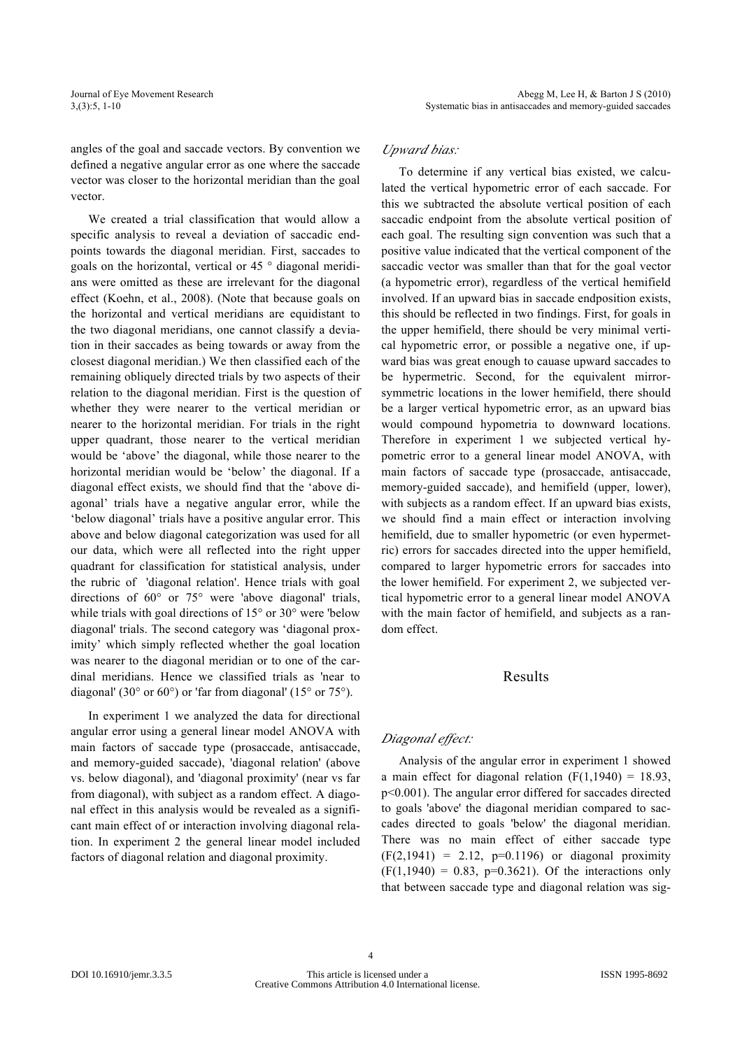angles of the goal and saccade vectors. By convention we defined a negative angular error as one where the saccade vector was closer to the horizontal meridian than the goal vector.

We created a trial classification that would allow a specific analysis to reveal a deviation of saccadic endpoints towards the diagonal meridian. First, saccades to goals on the horizontal, vertical or 45 ° diagonal meridians were omitted as these are irrelevant for the diagonal effect (Koehn, et al., 2008). (Note that because goals on the horizontal and vertical meridians are equidistant to the two diagonal meridians, one cannot classify a deviation in their saccades as being towards or away from the closest diagonal meridian.) We then classified each of the remaining obliquely directed trials by two aspects of their relation to the diagonal meridian. First is the question of whether they were nearer to the vertical meridian or nearer to the horizontal meridian. For trials in the right upper quadrant, those nearer to the vertical meridian would be 'above' the diagonal, while those nearer to the horizontal meridian would be 'below' the diagonal. If a diagonal effect exists, we should find that the 'above diagonal' trials have a negative angular error, while the 'below diagonal' trials have a positive angular error. This above and below diagonal categorization was used for all our data, which were all reflected into the right upper quadrant for classification for statistical analysis, under the rubric of 'diagonal relation'. Hence trials with goal directions of 60° or 75° were 'above diagonal' trials, while trials with goal directions of 15° or 30° were 'below diagonal' trials. The second category was 'diagonal proximity' which simply reflected whether the goal location was nearer to the diagonal meridian or to one of the cardinal meridians. Hence we classified trials as 'near to diagonal' (30° or 60°) or 'far from diagonal' (15° or 75°).

In experiment 1 we analyzed the data for directional angular error using a general linear model ANOVA with main factors of saccade type (prosaccade, antisaccade, and memory-guided saccade), 'diagonal relation' (above vs. below diagonal), and 'diagonal proximity' (near vs far from diagonal), with subject as a random effect. A diagonal effect in this analysis would be revealed as a significant main effect of or interaction involving diagonal relation. In experiment 2 the general linear model included factors of diagonal relation and diagonal proximity.

## *Upward bias:*

To determine if any vertical bias existed, we calculated the vertical hypometric error of each saccade. For this we subtracted the absolute vertical position of each saccadic endpoint from the absolute vertical position of each goal. The resulting sign convention was such that a positive value indicated that the vertical component of the saccadic vector was smaller than that for the goal vector (a hypometric error), regardless of the vertical hemifield involved. If an upward bias in saccade endposition exists, this should be reflected in two findings. First, for goals in the upper hemifield, there should be very minimal vertical hypometric error, or possible a negative one, if upward bias was great enough to cauase upward saccades to be hypermetric. Second, for the equivalent mirrorsymmetric locations in the lower hemifield, there should be a larger vertical hypometric error, as an upward bias would compound hypometria to downward locations. Therefore in experiment 1 we subjected vertical hypometric error to a general linear model ANOVA, with main factors of saccade type (prosaccade, antisaccade, memory-guided saccade), and hemifield (upper, lower), with subjects as a random effect. If an upward bias exists, we should find a main effect or interaction involving hemifield, due to smaller hypometric (or even hypermetric) errors for saccades directed into the upper hemifield, compared to larger hypometric errors for saccades into the lower hemifield. For experiment 2, we subjected vertical hypometric error to a general linear model ANOVA with the main factor of hemifield, and subjects as a random effect.

## Results

## *Diagonal effect:*

Analysis of the angular error in experiment 1 showed a main effect for diagonal relation  $(F(1,1940) = 18.93)$ , p<0.001). The angular error differed for saccades directed to goals 'above' the diagonal meridian compared to saccades directed to goals 'below' the diagonal meridian. There was no main effect of either saccade type  $(F(2,1941) = 2.12, p=0.1196)$  or diagonal proximity  $(F(1,1940) = 0.83, p=0.3621)$ . Of the interactions only that between saccade type and diagonal relation was sig-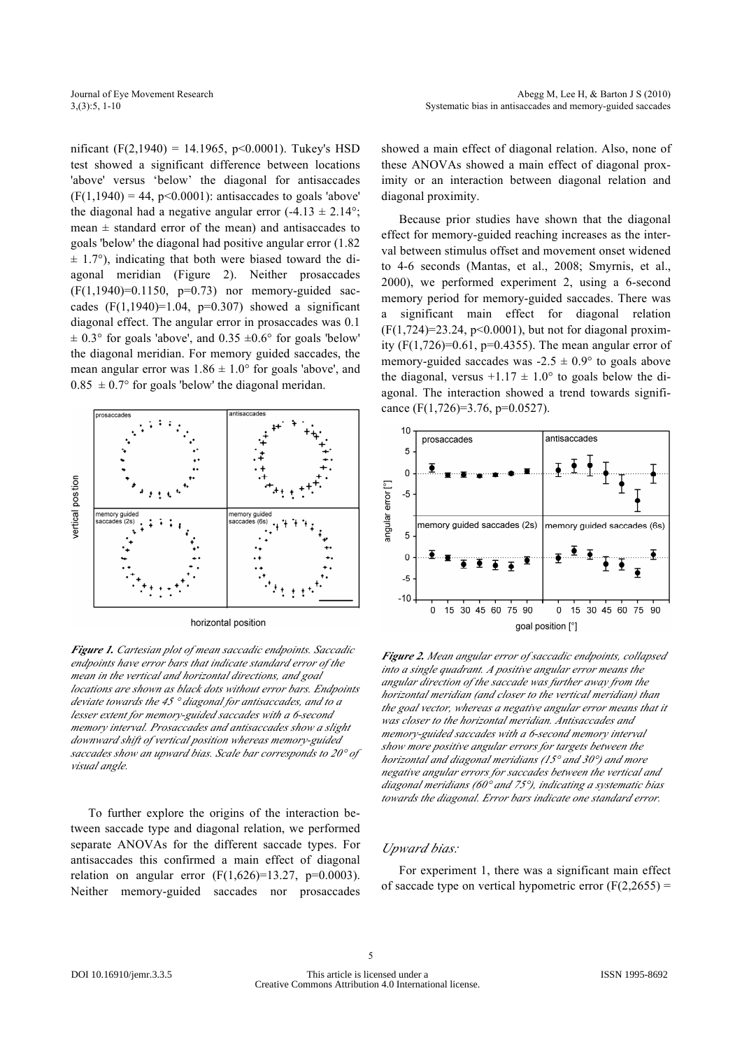nificant (F(2,1940) = 14.1965, p<0.0001). Tukey's HSD test showed a significant difference between locations 'above' versus 'below' the diagonal for antisaccades  $(F(1,1940) = 44, p<0.0001)$ : antisaccades to goals 'above' the diagonal had a negative angular error  $(-4.13 \pm 2.14^{\circ})$ ; mean  $\pm$  standard error of the mean) and antisaccades to goals 'below' the diagonal had positive angular error (1.82  $\pm$  1.7°), indicating that both were biased toward the diagonal meridian (Figure 2). Neither prosaccades  $(F(1,1940)=0.1150, p=0.73)$  nor memory-guided saccades  $(F(1, 1940)=1.04, p=0.307)$  showed a significant diagonal effect. The angular error in prosaccades was 0.1  $\pm$  0.3° for goals 'above', and 0.35  $\pm$ 0.6° for goals 'below' the diagonal meridian. For memory guided saccades, the mean angular error was  $1.86 \pm 1.0^{\circ}$  for goals 'above', and  $0.85 \pm 0.7$ ° for goals 'below' the diagonal meridan.



horizontal position

*Figure 1. Cartesian plot of mean saccadic endpoints. Saccadic endpoints have error bars that indicate standard error of the mean in the vertical and horizontal directions, and goal locations are shown as black dots without error bars. Endpoints deviate towards the 45 ° diagonal for antisaccades, and to a lesser extent for memory-guided saccades with a 6-second memory interval. Prosaccades and antisaccades show a slight downward shift of vertical position whereas memory-guided saccades show an upward bias. Scale bar corresponds to 20° of visual angle.*

To further explore the origins of the interaction between saccade type and diagonal relation, we performed separate ANOVAs for the different saccade types. For antisaccades this confirmed a main effect of diagonal relation on angular error  $(F(1,626)=13.27, p=0.0003)$ . Neither memory-guided saccades nor prosaccades showed a main effect of diagonal relation. Also, none of these ANOVAs showed a main effect of diagonal proximity or an interaction between diagonal relation and diagonal proximity.

Because prior studies have shown that the diagonal effect for memory-guided reaching increases as the interval between stimulus offset and movement onset widened to 4-6 seconds (Mantas, et al., 2008; Smyrnis, et al., 2000), we performed experiment 2, using a 6-second memory period for memory-guided saccades. There was a significant main effect for diagonal relation  $(F(1,724)=23.24, p<0.0001)$ , but not for diagonal proximity  $(F(1, 726)=0.61, p=0.4355)$ . The mean angular error of memory-guided saccades was  $-2.5 \pm 0.9^{\circ}$  to goals above the diagonal, versus  $+1.17 \pm 1.0^{\circ}$  to goals below the diagonal. The interaction showed a trend towards significance (F(1,726)=3.76, p=0.0527).



*Figure 2. Mean angular error of saccadic endpoints, collapsed into a single quadrant. A positive angular error means the angular direction of the saccade was further away from the horizontal meridian (and closer to the vertical meridian) than the goal vector, whereas a negative angular error means that it was closer to the horizontal meridian. Antisaccades and memory-guided saccades with a 6-second memory interval show more positive angular errors for targets between the horizontal and diagonal meridians (15° and 30°) and more negative angular errors for saccades between the vertical and diagonal meridians (60° and 75°), indicating a systematic bias towards the diagonal. Error bars indicate one standard error.*

#### *Upward bias:*

For experiment 1, there was a significant main effect of saccade type on vertical hypometric error  $(F(2,2655) =$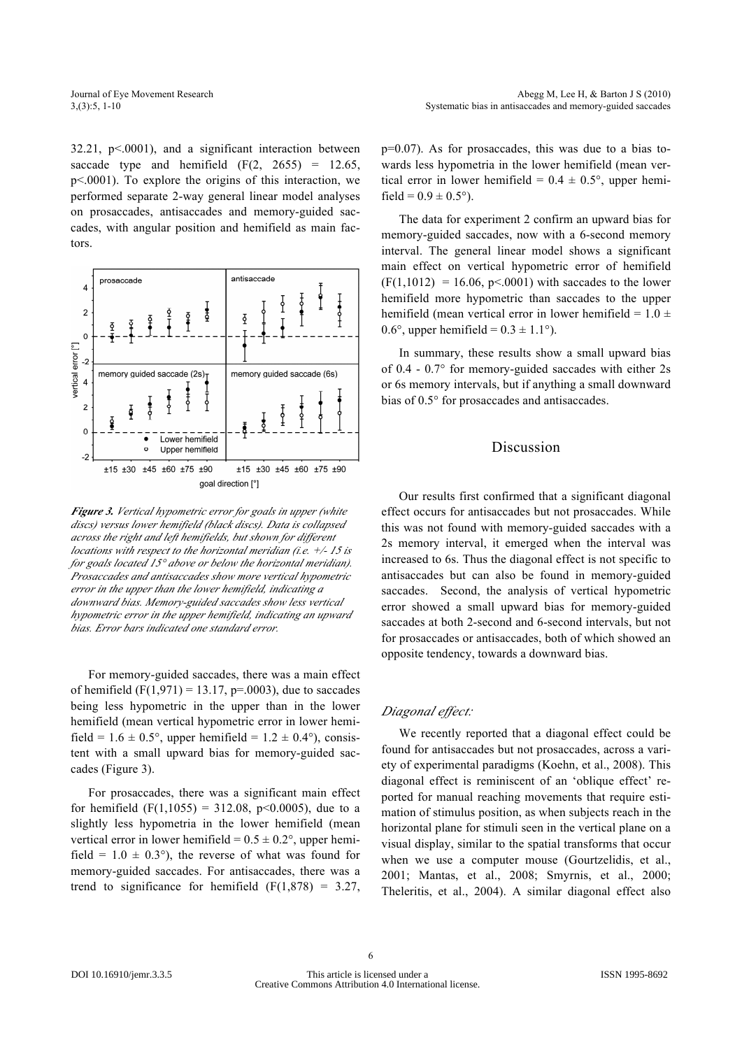$32.21$ ,  $p<.0001$ ), and a significant interaction between saccade type and hemifield  $(F(2, 2655) = 12.65)$ p<.0001). To explore the origins of this interaction, we performed separate 2-way general linear model analyses on prosaccades, antisaccades and memory-guided saccades, with angular position and hemifield as main factors.



*Figure 3. Vertical hypometric error for goals in upper (white discs) versus lower hemifield (black discs). Data is collapsed across the right and left hemifields, but shown for different locations with respect to the horizontal meridian (i.e. +/- 15 is for goals located 15° above or below the horizontal meridian). Prosaccades and antisaccades show more vertical hypometric error in the upper than the lower hemifield, indicating a downward bias. Memory-guided saccades show less vertical hypometric error in the upper hemifield, indicating an upward bias. Error bars indicated one standard error.*

For memory-guided saccades, there was a main effect of hemifield  $(F(1, 971) = 13.17, p = .0003)$ , due to saccades being less hypometric in the upper than in the lower hemifield (mean vertical hypometric error in lower hemifield =  $1.6 \pm 0.5^{\circ}$ , upper hemifield =  $1.2 \pm 0.4^{\circ}$ ), consistent with a small upward bias for memory-guided saccades (Figure 3).

For prosaccades, there was a significant main effect for hemifield  $(F(1,1055) = 312.08, p<0.0005)$ , due to a slightly less hypometria in the lower hemifield (mean vertical error in lower hemifield =  $0.5 \pm 0.2$ °, upper hemifield =  $1.0 \pm 0.3^{\circ}$ ), the reverse of what was found for memory-guided saccades. For antisaccades, there was a trend to significance for hemifield  $(F(1,878) = 3.27,$  p=0.07). As for prosaccades, this was due to a bias towards less hypometria in the lower hemifield (mean vertical error in lower hemifield =  $0.4 \pm 0.5^{\circ}$ , upper hemifield =  $0.9 \pm 0.5$ °).

The data for experiment 2 confirm an upward bias for memory-guided saccades, now with a 6-second memory interval. The general linear model shows a significant main effect on vertical hypometric error of hemifield  $(F(1,1012) = 16.06, p<0.001)$  with saccades to the lower hemifield more hypometric than saccades to the upper hemifield (mean vertical error in lower hemifield =  $1.0 \pm$ 0.6°, upper hemifield =  $0.3 \pm 1.1$ °).

In summary, these results show a small upward bias of 0.4 - 0.7° for memory-guided saccades with either 2s or 6s memory intervals, but if anything a small downward bias of 0.5° for prosaccades and antisaccades.

#### Discussion

Our results first confirmed that a significant diagonal effect occurs for antisaccades but not prosaccades. While this was not found with memory-guided saccades with a 2s memory interval, it emerged when the interval was increased to 6s. Thus the diagonal effect is not specific to antisaccades but can also be found in memory-guided saccades. Second, the analysis of vertical hypometric error showed a small upward bias for memory-guided saccades at both 2-second and 6-second intervals, but not for prosaccades or antisaccades, both of which showed an opposite tendency, towards a downward bias.

#### *Diagonal effect:*

We recently reported that a diagonal effect could be found for antisaccades but not prosaccades, across a variety of experimental paradigms (Koehn, et al., 2008). This diagonal effect is reminiscent of an 'oblique effect' reported for manual reaching movements that require estimation of stimulus position, as when subjects reach in the horizontal plane for stimuli seen in the vertical plane on a visual display, similar to the spatial transforms that occur when we use a computer mouse (Gourtzelidis, et al., 2001; Mantas, et al., 2008; Smyrnis, et al., 2000; Theleritis, et al., 2004). A similar diagonal effect also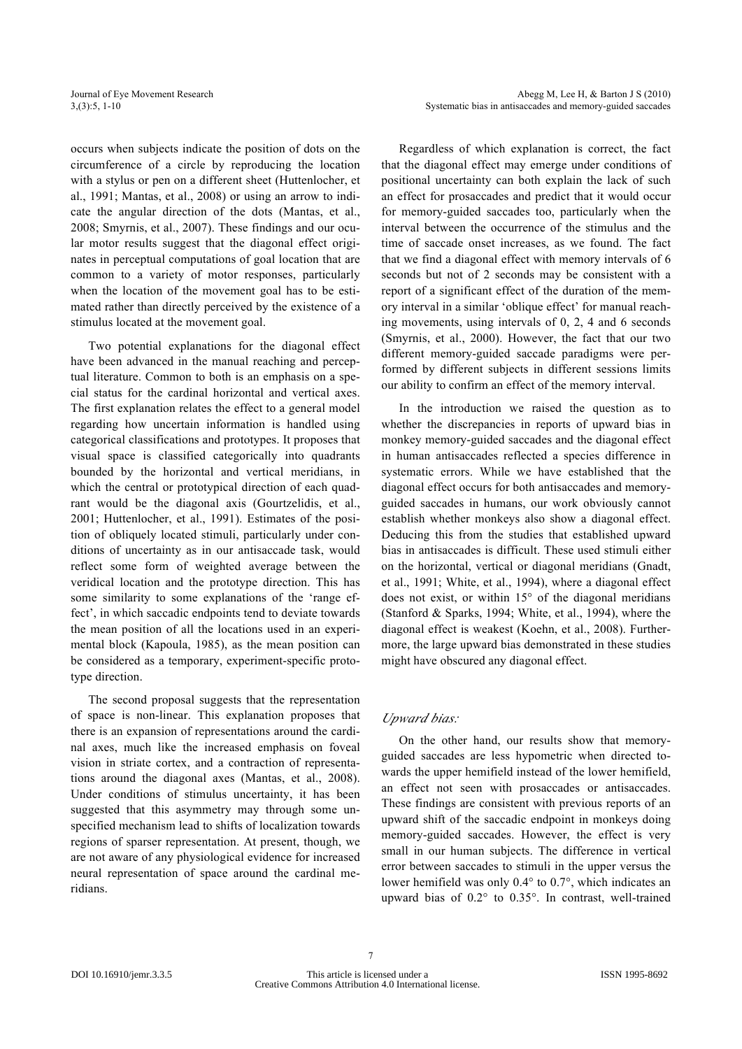occurs when subjects indicate the position of dots on the circumference of a circle by reproducing the location with a stylus or pen on a different sheet (Huttenlocher, et al., 1991; Mantas, et al., 2008) or using an arrow to indicate the angular direction of the dots (Mantas, et al., 2008; Smyrnis, et al., 2007). These findings and our ocular motor results suggest that the diagonal effect originates in perceptual computations of goal location that are common to a variety of motor responses, particularly when the location of the movement goal has to be estimated rather than directly perceived by the existence of a stimulus located at the movement goal.

Two potential explanations for the diagonal effect have been advanced in the manual reaching and perceptual literature. Common to both is an emphasis on a special status for the cardinal horizontal and vertical axes. The first explanation relates the effect to a general model regarding how uncertain information is handled using categorical classifications and prototypes. It proposes that visual space is classified categorically into quadrants bounded by the horizontal and vertical meridians, in which the central or prototypical direction of each quadrant would be the diagonal axis (Gourtzelidis, et al., 2001; Huttenlocher, et al., 1991). Estimates of the position of obliquely located stimuli, particularly under conditions of uncertainty as in our antisaccade task, would reflect some form of weighted average between the veridical location and the prototype direction. This has some similarity to some explanations of the 'range effect', in which saccadic endpoints tend to deviate towards the mean position of all the locations used in an experimental block (Kapoula, 1985), as the mean position can be considered as a temporary, experiment-specific prototype direction.

The second proposal suggests that the representation of space is non-linear. This explanation proposes that there is an expansion of representations around the cardinal axes, much like the increased emphasis on foveal vision in striate cortex, and a contraction of representations around the diagonal axes (Mantas, et al., 2008). Under conditions of stimulus uncertainty, it has been suggested that this asymmetry may through some unspecified mechanism lead to shifts of localization towards regions of sparser representation. At present, though, we are not aware of any physiological evidence for increased neural representation of space around the cardinal meridians.

Regardless of which explanation is correct, the fact that the diagonal effect may emerge under conditions of positional uncertainty can both explain the lack of such an effect for prosaccades and predict that it would occur for memory-guided saccades too, particularly when the interval between the occurrence of the stimulus and the time of saccade onset increases, as we found. The fact that we find a diagonal effect with memory intervals of 6 seconds but not of 2 seconds may be consistent with a report of a significant effect of the duration of the memory interval in a similar 'oblique effect' for manual reaching movements, using intervals of 0, 2, 4 and 6 seconds (Smyrnis, et al., 2000). However, the fact that our two different memory-guided saccade paradigms were performed by different subjects in different sessions limits our ability to confirm an effect of the memory interval.

In the introduction we raised the question as to whether the discrepancies in reports of upward bias in monkey memory-guided saccades and the diagonal effect in human antisaccades reflected a species difference in systematic errors. While we have established that the diagonal effect occurs for both antisaccades and memoryguided saccades in humans, our work obviously cannot establish whether monkeys also show a diagonal effect. Deducing this from the studies that established upward bias in antisaccades is difficult. These used stimuli either on the horizontal, vertical or diagonal meridians (Gnadt, et al., 1991; White, et al., 1994), where a diagonal effect does not exist, or within  $15^{\circ}$  of the diagonal meridians (Stanford & Sparks, 1994; White, et al., 1994), where the diagonal effect is weakest (Koehn, et al., 2008). Furthermore, the large upward bias demonstrated in these studies might have obscured any diagonal effect.

#### *Upward bias:*

On the other hand, our results show that memoryguided saccades are less hypometric when directed towards the upper hemifield instead of the lower hemifield, an effect not seen with prosaccades or antisaccades. These findings are consistent with previous reports of an upward shift of the saccadic endpoint in monkeys doing memory-guided saccades. However, the effect is very small in our human subjects. The difference in vertical error between saccades to stimuli in the upper versus the lower hemifield was only 0.4° to 0.7°, which indicates an upward bias of 0.2° to 0.35°. In contrast, well-trained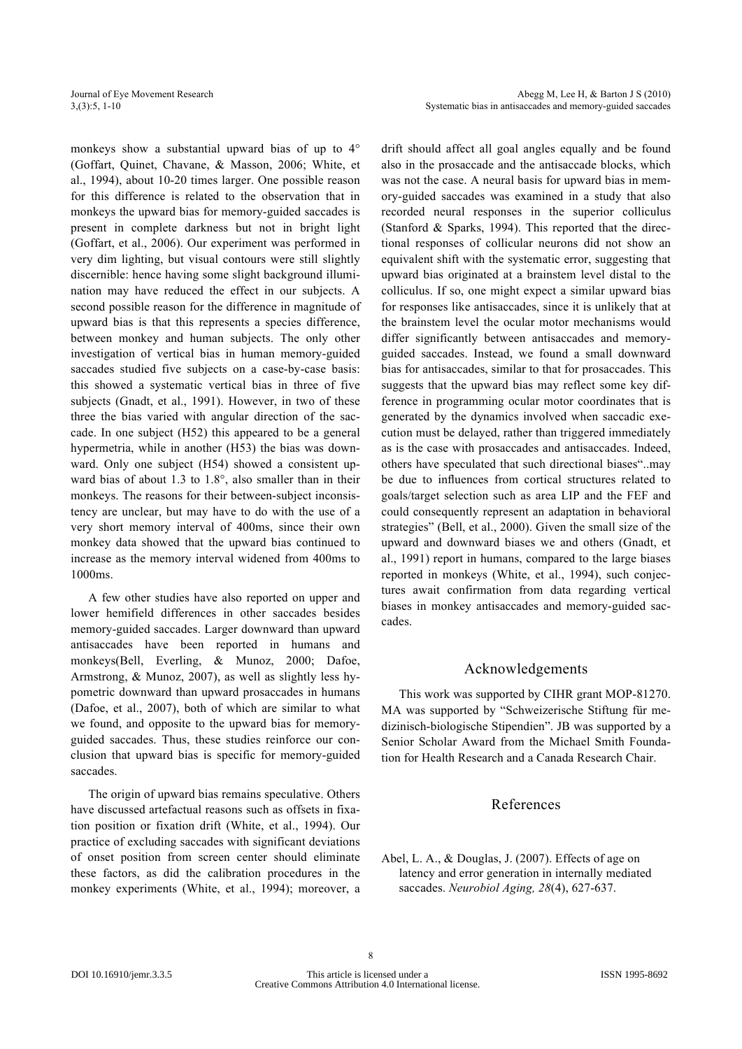monkeys show a substantial upward bias of up to 4° (Goffart, Quinet, Chavane, & Masson, 2006; White, et al., 1994), about 10-20 times larger. One possible reason for this difference is related to the observation that in monkeys the upward bias for memory-guided saccades is present in complete darkness but not in bright light (Goffart, et al., 2006). Our experiment was performed in very dim lighting, but visual contours were still slightly discernible: hence having some slight background illumination may have reduced the effect in our subjects. A second possible reason for the difference in magnitude of upward bias is that this represents a species difference, between monkey and human subjects. The only other investigation of vertical bias in human memory-guided saccades studied five subjects on a case-by-case basis: this showed a systematic vertical bias in three of five subjects (Gnadt, et al., 1991). However, in two of these three the bias varied with angular direction of the saccade. In one subject (H52) this appeared to be a general hypermetria, while in another (H53) the bias was downward. Only one subject (H54) showed a consistent upward bias of about 1.3 to 1.8°, also smaller than in their monkeys. The reasons for their between-subject inconsistency are unclear, but may have to do with the use of a very short memory interval of 400ms, since their own monkey data showed that the upward bias continued to increase as the memory interval widened from 400ms to 1000ms.

A few other studies have also reported on upper and lower hemifield differences in other saccades besides memory-guided saccades. Larger downward than upward antisaccades have been reported in humans and monkeys(Bell, Everling, & Munoz, 2000; Dafoe, Armstrong, & Munoz, 2007), as well as slightly less hypometric downward than upward prosaccades in humans (Dafoe, et al., 2007), both of which are similar to what we found, and opposite to the upward bias for memoryguided saccades. Thus, these studies reinforce our conclusion that upward bias is specific for memory-guided saccades.

The origin of upward bias remains speculative. Others have discussed artefactual reasons such as offsets in fixation position or fixation drift (White, et al., 1994). Our practice of excluding saccades with significant deviations of onset position from screen center should eliminate these factors, as did the calibration procedures in the monkey experiments (White, et al., 1994); moreover, a drift should affect all goal angles equally and be found also in the prosaccade and the antisaccade blocks, which was not the case. A neural basis for upward bias in memory-guided saccades was examined in a study that also recorded neural responses in the superior colliculus (Stanford & Sparks, 1994). This reported that the directional responses of collicular neurons did not show an equivalent shift with the systematic error, suggesting that upward bias originated at a brainstem level distal to the colliculus. If so, one might expect a similar upward bias for responses like antisaccades, since it is unlikely that at the brainstem level the ocular motor mechanisms would differ significantly between antisaccades and memoryguided saccades. Instead, we found a small downward bias for antisaccades, similar to that for prosaccades. This suggests that the upward bias may reflect some key difference in programming ocular motor coordinates that is generated by the dynamics involved when saccadic execution must be delayed, rather than triggered immediately as is the case with prosaccades and antisaccades. Indeed, others have speculated that such directional biases"..may be due to influences from cortical structures related to goals/target selection such as area LIP and the FEF and could consequently represent an adaptation in behavioral strategies" (Bell, et al., 2000). Given the small size of the upward and downward biases we and others (Gnadt, et al., 1991) report in humans, compared to the large biases reported in monkeys (White, et al., 1994), such conjectures await confirmation from data regarding vertical biases in monkey antisaccades and memory-guided saccades.

## Acknowledgements

This work was supported by CIHR grant MOP-81270. MA was supported by "Schweizerische Stiftung für medizinisch-biologische Stipendien". JB was supported by a Senior Scholar Award from the Michael Smith Foundation for Health Research and a Canada Research Chair.

# References

Abel, L. A., & Douglas, J. (2007). Effects of age on latency and error generation in internally mediated saccades. *Neurobiol Aging, 28*(4), 627-637.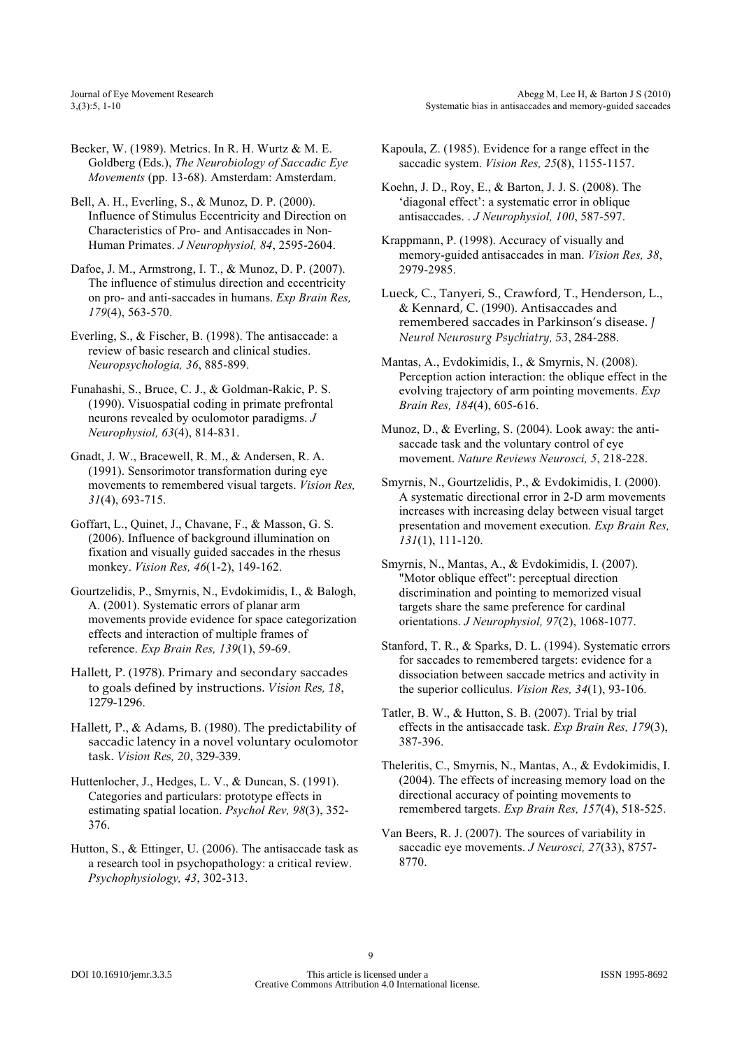Becker, W. (1989). Metrics. In R. H. Wurtz & M. E. Goldberg (Eds.), *The Neurobiology of Saccadic Eye Movements* (pp. 13-68). Amsterdam: Amsterdam.

Bell, A. H., Everling, S., & Munoz, D. P. (2000). Influence of Stimulus Eccentricity and Direction on Characteristics of Pro- and Antisaccades in Non-Human Primates. *J Neurophysiol, 84*, 2595-2604.

Dafoe, J. M., Armstrong, I. T., & Munoz, D. P. (2007). The influence of stimulus direction and eccentricity on pro- and anti-saccades in humans. *Exp Brain Res, 179*(4), 563-570.

Everling, S., & Fischer, B. (1998). The antisaccade: a review of basic research and clinical studies. *Neuropsychologia, 36*, 885-899.

- Funahashi, S., Bruce, C. J., & Goldman-Rakic, P. S. (1990). Visuospatial coding in primate prefrontal neurons revealed by oculomotor paradigms. *J Neurophysiol, 63*(4), 814-831.
- Gnadt, J. W., Bracewell, R. M., & Andersen, R. A. (1991). Sensorimotor transformation during eye movements to remembered visual targets. *Vision Res, 31*(4), 693-715.

Goffart, L., Quinet, J., Chavane, F., & Masson, G. S. (2006). Influence of background illumination on fixation and visually guided saccades in the rhesus monkey. *Vision Res, 46*(1-2), 149-162.

Gourtzelidis, P., Smyrnis, N., Evdokimidis, I., & Balogh, A. (2001). Systematic errors of planar arm movements provide evidence for space categorization effects and interaction of multiple frames of reference. *Exp Brain Res, 139*(1), 59-69.

Hallett, P. (1978). Primary and secondary saccades to goals defined by instructions. *Vision Res, 18*, 1279-1296.

Hallett, P., & Adams, B. (1980). The predictability of saccadic latency in a novel voluntary oculomotor task. *Vision Res, 20*, 329-339.

Huttenlocher, J., Hedges, L. V., & Duncan, S. (1991). Categories and particulars: prototype effects in estimating spatial location. *Psychol Rev, 98*(3), 352- 376.

Hutton, S., & Ettinger, U. (2006). The antisaccade task as a research tool in psychopathology: a critical review. *Psychophysiology, 43*, 302-313.

Kapoula, Z. (1985). Evidence for a range effect in the saccadic system. *Vision Res, 25*(8), 1155-1157.

Koehn, J. D., Roy, E., & Barton, J. J. S. (2008). The 'diagonal effect': a systematic error in oblique antisaccades. . *J Neurophysiol, 100*, 587-597.

Krappmann, P. (1998). Accuracy of visually and memory-guided antisaccades in man. *Vision Res, 38*, 2979-2985.

Lueck, C., Tanyeri, S., Crawford, T., Henderson, L., & Kennard, C. (1990). Antisaccades and remembered saccades in Parkinson's disease. *J Neurol Neurosurg Psychiatry, 53*, 284-288.

Mantas, A., Evdokimidis, I., & Smyrnis, N. (2008). Perception action interaction: the oblique effect in the evolving trajectory of arm pointing movements. *Exp Brain Res, 184*(4), 605-616.

Munoz, D., & Everling, S. (2004). Look away: the antisaccade task and the voluntary control of eye movement. *Nature Reviews Neurosci, 5*, 218-228.

Smyrnis, N., Gourtzelidis, P., & Evdokimidis, I. (2000). A systematic directional error in 2-D arm movements increases with increasing delay between visual target presentation and movement execution. *Exp Brain Res, 131*(1), 111-120.

Smyrnis, N., Mantas, A., & Evdokimidis, I. (2007). "Motor oblique effect": perceptual direction discrimination and pointing to memorized visual targets share the same preference for cardinal orientations. *J Neurophysiol, 97*(2), 1068-1077.

Stanford, T. R., & Sparks, D. L. (1994). Systematic errors for saccades to remembered targets: evidence for a dissociation between saccade metrics and activity in the superior colliculus. *Vision Res, 34*(1), 93-106.

Tatler, B. W., & Hutton, S. B. (2007). Trial by trial effects in the antisaccade task. *Exp Brain Res, 179*(3), 387-396.

Theleritis, C., Smyrnis, N., Mantas, A., & Evdokimidis, I. (2004). The effects of increasing memory load on the directional accuracy of pointing movements to remembered targets. *Exp Brain Res, 157*(4), 518-525.

Van Beers, R. J. (2007). The sources of variability in saccadic eye movements. *J Neurosci, 27*(33), 8757- 8770.

 $\overline{q}$